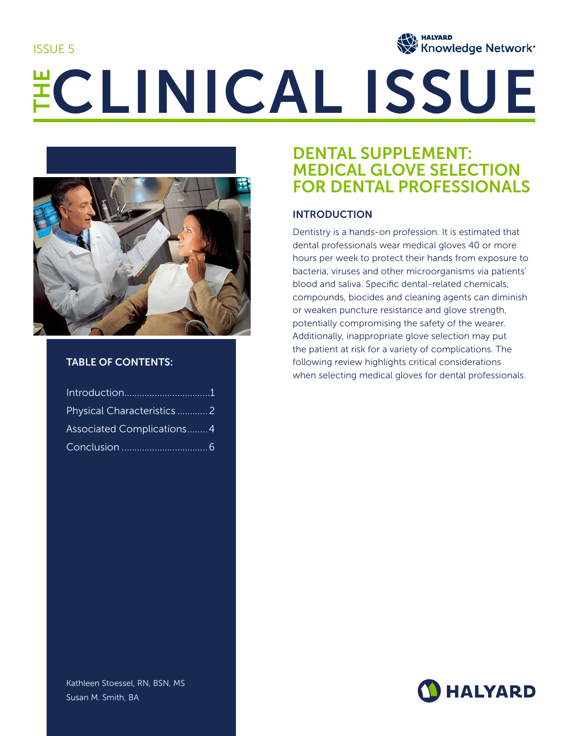ISSUE 5



# ECLINICAL ISSUE



# TABLE OF CONTENTS:

| Physical Characteristics 2        |  |
|-----------------------------------|--|
| <b>Associated Complications 4</b> |  |
|                                   |  |

# DENTAL SUPPLEMENT: MEDICAL GLOVE SELECTION FOR DENTAL PROFESSIONALS

# INTRODUCTION

Dentistry is a hands-on profession. It is estimated that dental professionals wear medical gloves 40 or more hours per week to protect their hands from exposure to bacteria, viruses and other microorganisms via patients' blood and saliva. Specific dental-related chemicals, compounds, biocides and cleaning agents can diminish or weaken puncture resistance and glove strength, potentially compromising the safety of the wearer. Additionally, inappropriate glove selection may put the patient at risk for a variety of complications. The following review highlights critical considerations when selecting medical gloves for dental professionals.



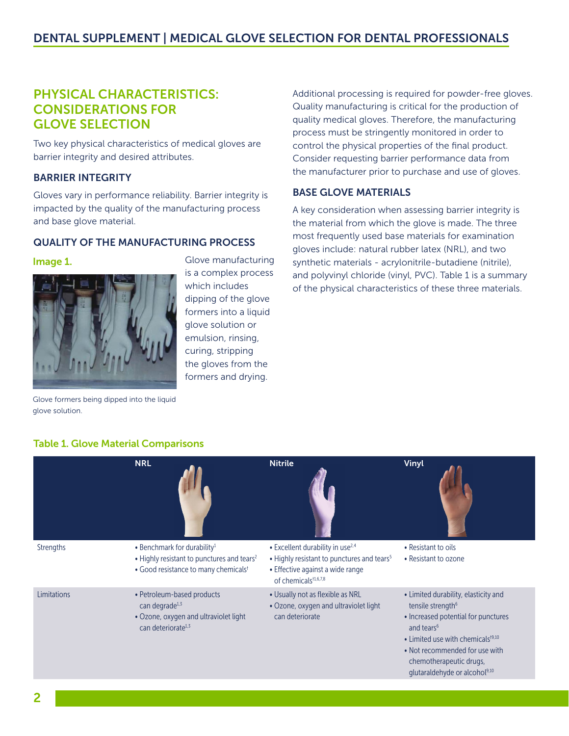# PHYSICAL CHARACTERISTICS: CONSIDERATIONS FOR GLOVE SELECTION

Two key physical characteristics of medical gloves are barrier integrity and desired attributes.

# BARRIER INTEGRITY

Gloves vary in performance reliability. Barrier integrity is impacted by the quality of the manufacturing process and base glove material.

### QUALITY OF THE MANUFACTURING PROCESS

#### Image 1.

glove solution.



Glove formers being dipped into the liquid

Glove manufacturing is a complex process which includes dipping of the glove formers into a liquid glove solution or emulsion, rinsing, curing, stripping the gloves from the formers and drying.

Additional processing is required for powder-free gloves. Quality manufacturing is critical for the production of quality medical gloves. Therefore, the manufacturing process must be stringently monitored in order to control the physical properties of the final product. Consider requesting barrier performance data from the manufacturer prior to purchase and use of gloves.

# BASE GLOVE MATERIALS

A key consideration when assessing barrier integrity is the material from which the glove is made. The three most frequently used base materials for examination gloves include: natural rubber latex (NRL), and two synthetic materials - acrylonitrile-butadiene (nitrile), and polyvinyl chloride (vinyl, PVC). Table 1 is a summary of the physical characteristics of these three materials.

# Table 1. Glove Material Comparisons

|                  | <b>NRL</b>                                                                                                                                            | <b>Nitrile</b>                                                                                                                                                                 | Vinyl                                                                                                                                                                                                                                                                                       |
|------------------|-------------------------------------------------------------------------------------------------------------------------------------------------------|--------------------------------------------------------------------------------------------------------------------------------------------------------------------------------|---------------------------------------------------------------------------------------------------------------------------------------------------------------------------------------------------------------------------------------------------------------------------------------------|
| <b>Strengths</b> | • Benchmark for durability <sup>1</sup><br>• Highly resistant to punctures and tears <sup>2</sup><br>• Good resistance to many chemicals <sup>t</sup> | • Excellent durability in use <sup>2,4</sup><br>• Highly resistant to punctures and tears <sup>5</sup><br>• Effective against a wide range<br>of chemicals <sup>t1,6,7,8</sup> | • Resistant to oils<br>• Resistant to ozone                                                                                                                                                                                                                                                 |
| Limitations      | • Petroleum-based products<br>can degrade <sup>1,3</sup><br>• Ozone, oxygen and ultraviolet light<br>can deteriorate <sup>1,3</sup>                   | • Usually not as flexible as NRL<br>• Ozone, oxygen and ultraviolet light<br>can deteriorate                                                                                   | • Limited durability, elasticity and<br>tensile strength <sup>6</sup><br>• Increased potential for punctures<br>and tears <sup>6</sup><br>• Limited use with chemicals $t^{9,10}$<br>• Not recommended for use with<br>chemotherapeutic drugs,<br>glutaraldehyde or alcohol <sup>9,10</sup> |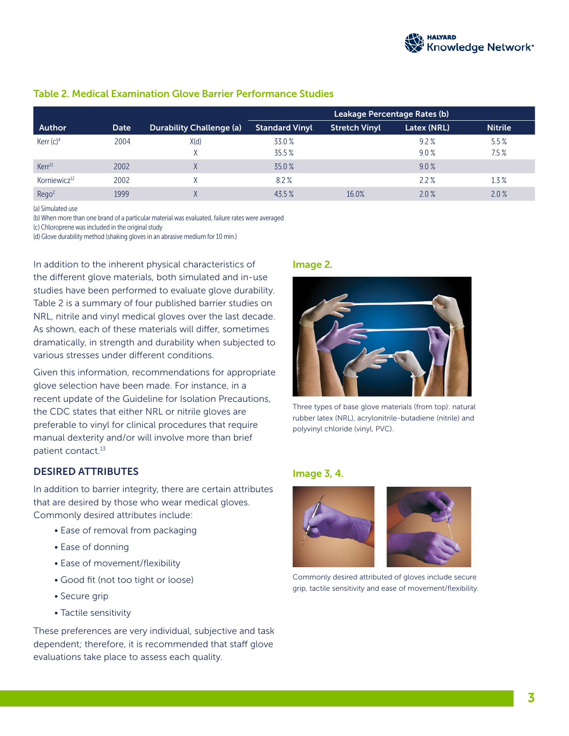

|                          |      |                                 | Leakage Percentage Rates (b) |                      |             |                |
|--------------------------|------|---------------------------------|------------------------------|----------------------|-------------|----------------|
| Author                   | Date | <b>Durability Challenge (a)</b> | <b>Standard Vinyl</b>        | <b>Stretch Vinyl</b> | Latex (NRL) | <b>Nitrile</b> |
| Kerr $(c)^4$             | 2004 | X(d)                            | 33.0%                        |                      | 9.2%        | 5.5%           |
|                          |      |                                 | 35.5%                        |                      | 9.0%        | 7.5%           |
| Kerr <sup>11</sup>       | 2002 | Χ                               | 35.0%                        |                      | 9.0%        |                |
| Korniewicz <sup>12</sup> | 2002 |                                 | 8.2%                         |                      | 2.2%        | 1.3%           |
| Reqo <sup>2</sup>        | 1999 |                                 | $43.5\%$                     | 16.0%                | 2.0%        | 2.0%           |

#### Table 2. Medical Examination Glove Barrier Performance Studies

(a) Simulated use

(b) When more than one brand of a particular material was evaluated, failure rates were averaged

(c) Chloroprene was included in the original study

(d) Glove durability method (shaking gloves in an abrasive medium for 10 min.)

In addition to the inherent physical characteristics of the different glove materials, both simulated and in-use studies have been performed to evaluate glove durability. Table 2 is a summary of four published barrier studies on NRL, nitrile and vinyl medical gloves over the last decade. As shown, each of these materials will differ, sometimes dramatically, in strength and durability when subjected to various stresses under different conditions.

Given this information, recommendations for appropriate glove selection have been made. For instance, in a recent update of the Guideline for Isolation Precautions, the CDC states that either NRL or nitrile gloves are preferable to vinyl for clinical procedures that require manual dexterity and/or will involve more than brief patient contact.<sup>13</sup>

#### DESIRED ATTRIBUTES

In addition to barrier integrity, there are certain attributes that are desired by those who wear medical gloves. Commonly desired attributes include:

- Ease of removal from packaging
- Ease of donning
- Ease of movement/flexibility
- Good fit (not too tight or loose)
- Secure grip
- Tactile sensitivity

These preferences are very individual, subjective and task dependent; therefore, it is recommended that staff glove evaluations take place to assess each quality.

#### Image 2.



Three types of base glove materials (from top): natural rubber latex (NRL), acrylonitrile-butadiene (nitrile) and polyvinyl chloride (vinyl, PVC).

#### Image 3, 4.



Commonly desired attributed of gloves include secure grip, tactile sensitivity and ease of movement/flexibility.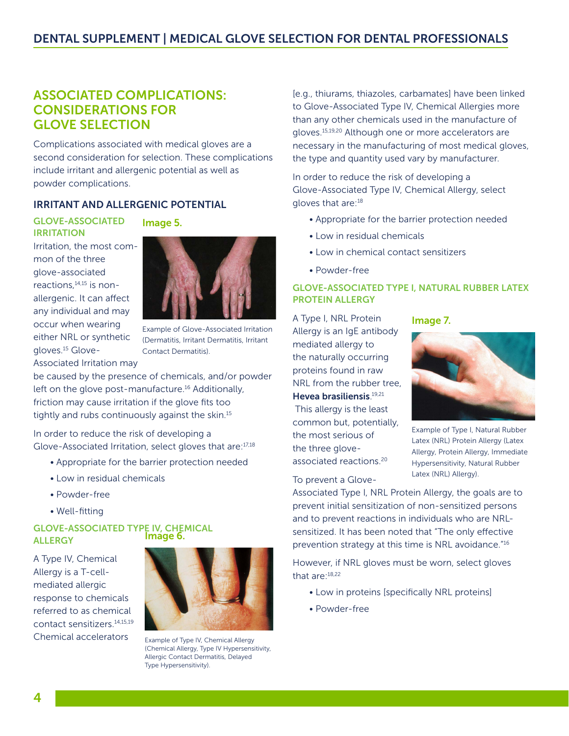# ASSOCIATED COMPLICATIONS: CONSIDERATIONS FOR GLOVE SELECTION

Complications associated with medical gloves are a second consideration for selection. These complications include irritant and allergenic potential as well as powder complications.

# IRRITANT AND ALLERGENIC POTENTIAL

GLOVE-ASSOCIATED IRRITATION

Image 5.



Example of Glove-Associated Irritation (Dermatitis, Irritant Dermatitis, Irritant Contact Dermatitis).

be caused by the presence of chemicals, and/or powder left on the glove post-manufacture.<sup>16</sup> Additionally, friction may cause irritation if the glove fits too tightly and rubs continuously against the skin.15

In order to reduce the risk of developing a Glove-Associated Irritation, select gloves that are:17,18

- Appropriate for the barrier protection needed
- Low in residual chemicals
- Powder-free
- Well-fitting

#### GLOVE-ASSOCIATED TYPE IV, CHEMICAL **ALLERGY** Image 6.

A Type IV, Chemical Allergy is a T-cellmediated allergic response to chemicals referred to as chemical contact sensitizers.14,15,19 Chemical accelerators



Example of Type IV, Chemical Allergy (Chemical Allergy, Type IV Hypersensitivity, Allergic Contact Dermatitis, Delayed Type Hypersensitivity).

[e.g., thiurams, thiazoles, carbamates] have been linked to Glove-Associated Type IV, Chemical Allergies more than any other chemicals used in the manufacture of gloves.15,19,20 Although one or more accelerators are necessary in the manufacturing of most medical gloves, the type and quantity used vary by manufacturer.

In order to reduce the risk of developing a Glove-Associated Type IV, Chemical Allergy, select gloves that are:<sup>18</sup>

- Appropriate for the barrier protection needed
- Low in residual chemicals
- Low in chemical contact sensitizers
- Powder-free

#### GLOVE-ASSOCIATED TYPE I, NATURAL RUBBER LATEX PROTEIN ALLERGY

A Type I, NRL Protein Allergy is an IgE antibody mediated allergy to the naturally occurring proteins found in raw NRL from the rubber tree, Hevea brasiliensis.<sup>19,21</sup> This allergy is the least common but, potentially, the most serious of the three gloveassociated reactions.20





Example of Type I, Natural Rubber Latex (NRL) Protein Allergy (Latex Allergy, Protein Allergy, Immediate Hypersensitivity, Natural Rubber Latex (NRL) Allergy).

To prevent a Glove-

Associated Type I, NRL Protein Allergy, the goals are to prevent initial sensitization of non-sensitized persons and to prevent reactions in individuals who are NRLsensitized. It has been noted that "The only effective prevention strategy at this time is NRL avoidance."16

However, if NRL gloves must be worn, select gloves that are:18,22

- Low in proteins [specifically NRL proteins]
- Powder-free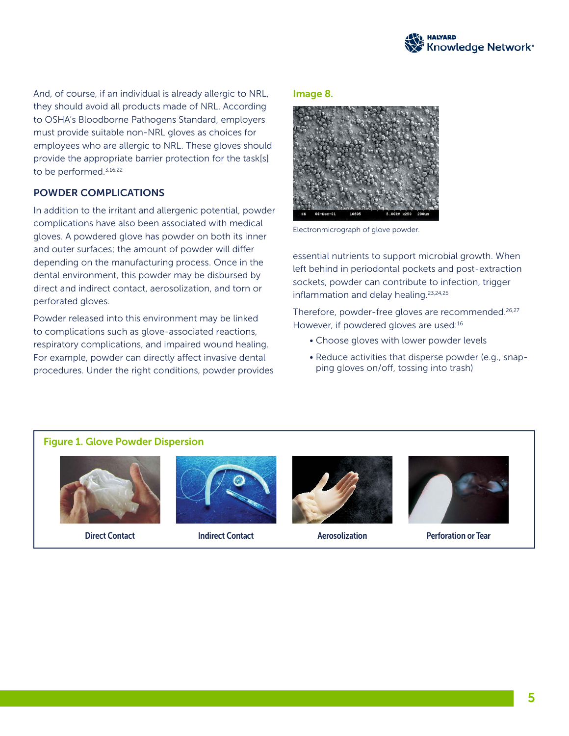

And, of course, if an individual is already allergic to NRL, they should avoid all products made of NRL. According to OSHA's Bloodborne Pathogens Standard, employers must provide suitable non-NRL gloves as choices for employees who are allergic to NRL. These gloves should provide the appropriate barrier protection for the task[s] to be performed.<sup>3,16,22</sup>

#### POWDER COMPLICATIONS

In addition to the irritant and allergenic potential, powder complications have also been associated with medical gloves. A powdered glove has powder on both its inner and outer surfaces; the amount of powder will differ depending on the manufacturing process. Once in the dental environment, this powder may be disbursed by direct and indirect contact, aerosolization, and torn or perforated gloves.

Powder released into this environment may be linked to complications such as glove-associated reactions, respiratory complications, and impaired wound healing. For example, powder can directly affect invasive dental procedures. Under the right conditions, powder provides

#### Image 8.



Electronmicrograph of glove powder.

essential nutrients to support microbial growth. When left behind in periodontal pockets and post-extraction sockets, powder can contribute to infection, trigger inflammation and delay healing.23,24,25

Therefore, powder-free gloves are recommended.<sup>26,27</sup> However, if powdered gloves are used:<sup>16</sup>

- Choose gloves with lower powder levels
- Reduce activities that disperse powder (e.g., snapping gloves on/off, tossing into trash)

#### Figure 1. Glove Powder Dispersion









Direct Contact Indirect Contact Aerosolization Perforation or Tear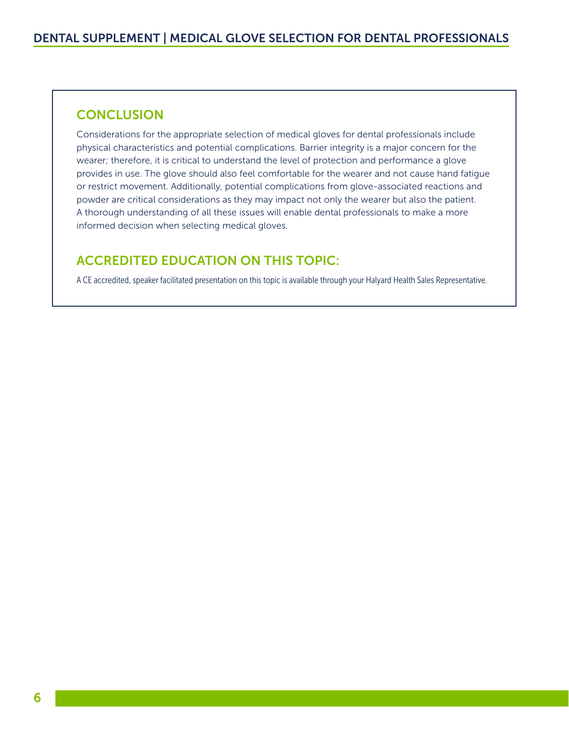# **CONCLUSION**

Considerations for the appropriate selection of medical gloves for dental professionals include physical characteristics and potential complications. Barrier integrity is a major concern for the wearer; therefore, it is critical to understand the level of protection and performance a glove provides in use. The glove should also feel comfortable for the wearer and not cause hand fatigue or restrict movement. Additionally, potential complications from glove-associated reactions and powder are critical considerations as they may impact not only the wearer but also the patient. A thorough understanding of all these issues will enable dental professionals to make a more informed decision when selecting medical gloves.

# ACCREDITED EDUCATION ON THIS TOPIC:

A CE accredited, speaker facilitated presentation on this topic is available through your Halyard Health Sales Representative.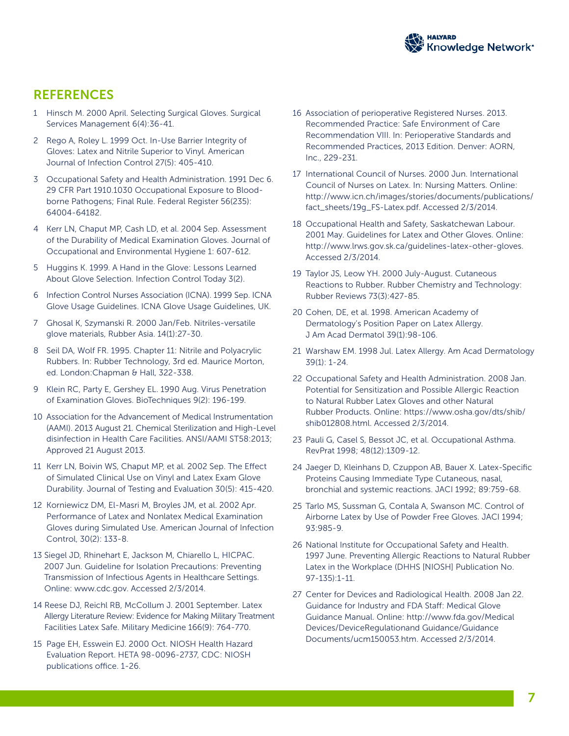

# **REFERENCES**

- 1 Hinsch M. 2000 April. Selecting Surgical Gloves. Surgical Services Management 6(4):36-41.
- 2 Rego A, Roley L. 1999 Oct. In-Use Barrier Integrity of Gloves: Latex and Nitrile Superior to Vinyl. American Journal of Infection Control 27(5): 405-410.
- 3 Occupational Safety and Health Administration. 1991 Dec 6. 29 CFR Part 1910.1030 Occupational Exposure to Bloodborne Pathogens; Final Rule. Federal Register 56(235): 64004-64182.
- 4 Kerr LN, Chaput MP, Cash LD, et al. 2004 Sep. Assessment of the Durability of Medical Examination Gloves. Journal of Occupational and Environmental Hygiene 1: 607-612.
- 5 Huggins K. 1999. A Hand in the Glove: Lessons Learned About Glove Selection. Infection Control Today 3(2).
- 6 Infection Control Nurses Association (ICNA). 1999 Sep. ICNA Glove Usage Guidelines. ICNA Glove Usage Guidelines, UK.
- 7 Ghosal K, Szymanski R. 2000 Jan/Feb. Nitriles-versatile glove materials, Rubber Asia. 14(1):27-30.
- 8 Seil DA, Wolf FR. 1995. Chapter 11: Nitrile and Polyacrylic Rubbers. In: Rubber Technology, 3rd ed. Maurice Morton, ed. London: Chapman & Hall, 322-338.
- 9 Klein RC, Party E, Gershey EL. 1990 Aug. Virus Penetration of Examination Gloves. BioTechniques 9(2): 196-199.
- 10 Association for the Advancement of Medical Instrumentation (AAMI). 2013 August 21. Chemical Sterilization and High-Level disinfection in Health Care Facilities. ANSI/AAMI ST58:2013; Approved 21 August 2013.
- 11 Kerr LN, Boivin WS, Chaput MP, et al. 2002 Sep. The Effect of Simulated Clinical Use on Vinyl and Latex Exam Glove Durability. Journal of Testing and Evaluation 30(5): 415-420.
- 12 Korniewicz DM, El-Masri M, Broyles JM, et al. 2002 Apr. Performance of Latex and Nonlatex Medical Examination Gloves during Simulated Use. American Journal of Infection Control, 30(2): 133-8.
- 13 Siegel JD, Rhinehart E, Jackson M, Chiarello L, HICPAC. 2007 Jun. Guideline for Isolation Precautions: Preventing Transmission of Infectious Agents in Healthcare Settings. Online: www.cdc.gov. Accessed 2/3/2014.
- 14 Reese DJ, Reichl RB, McCollum J. 2001 September. Latex Allergy Literature Review: Evidence for Making Military Treatment Facilities Latex Safe. Military Medicine 166(9): 764-770.
- 15 Page EH, Esswein EJ. 2000 Oct. NIOSH Health Hazard Evaluation Report. HETA 98-0096-2737, CDC: NIOSH publications office. 1-26.
- 16 Association of perioperative Registered Nurses. 2013. Recommended Practice: Safe Environment of Care Recommendation VIII. In: Perioperative Standards and Recommended Practices, 2013 Edition. Denver: AORN, Inc., 229-231.
- 17 International Council of Nurses. 2000 Jun. International Council of Nurses on Latex. In: Nursing Matters. Online: http://www.icn.ch/images/stories/documents/publications/ fact\_sheets/19g\_FS-Latex.pdf. Accessed 2/3/2014.
- 18 Occupational Health and Safety, Saskatchewan Labour. 2001 May. Guidelines for Latex and Other Gloves. Online: http://www.lrws.gov.sk.ca/guidelines-latex-other-gloves. Accessed 2/3/2014.
- 19 Taylor JS, Leow YH. 2000 July-August. Cutaneous Reactions to Rubber. Rubber Chemistry and Technology: Rubber Reviews 73(3):427-85.
- 20 Cohen, DE, et al. 1998. American Academy of Dermatology's Position Paper on Latex Allergy. J Am Acad Dermatol 39(1):98-106.
- 21 Warshaw EM. 1998 Jul. Latex Allergy. Am Acad Dermatology 39(1): 1-24.
- 22 Occupational Safety and Health Administration. 2008 Jan. Potential for Sensitization and Possible Allergic Reaction to Natural Rubber Latex Gloves and other Natural Rubber Products. Online: https://www.osha.gov/dts/shib/ shib012808.html. Accessed 2/3/2014.
- 23 Pauli G, Casel S, Bessot JC, et al. Occupational Asthma. RevPrat 1998; 48(12):1309-12.
- 24 Jaeger D, Kleinhans D, Czuppon AB, Bauer X. Latex-Specific Proteins Causing Immediate Type Cutaneous, nasal, bronchial and systemic reactions. JACI 1992; 89:759-68.
- 25 Tarlo MS, Sussman G, Contala A, Swanson MC. Control of Airborne Latex by Use of Powder Free Gloves. JACI 1994; 93:985-9.
- 26 National Institute for Occupational Safety and Health. 1997 June. Preventing Allergic Reactions to Natural Rubber Latex in the Workplace (DHHS [NIOSH] Publication No. 97-135):1-11.
- 27 Center for Devices and Radiological Health. 2008 Jan 22. Guidance for Industry and FDA Staff: Medical Glove Guidance Manual. Online: http://www.fda.gov/Medical Devices/DeviceRegulationand Guidance/Guidance Documents/ucm150053.htm. Accessed 2/3/2014.